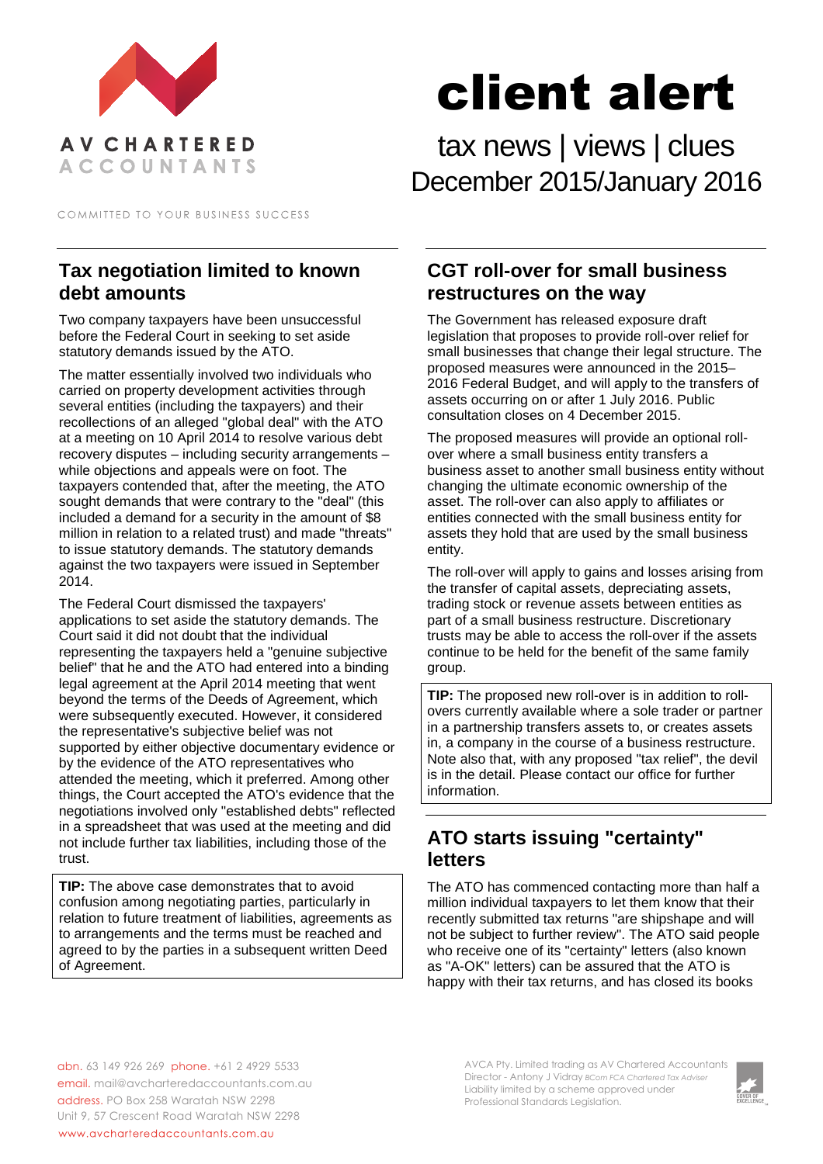

COMMITTED TO YOUR BUSINESS SUCCESS

# **Tax negotiation limited to known debt amounts**

Two company taxpayers have been unsuccessful before the Federal Court in seeking to set aside statutory demands issued by the ATO.

The matter essentially involved two individuals who carried on property development activities through several entities (including the taxpayers) and their recollections of an alleged "global deal" with the ATO at a meeting on 10 April 2014 to resolve various debt recovery disputes – including security arrangements – while objections and appeals were on foot. The taxpayers contended that, after the meeting, the ATO sought demands that were contrary to the "deal" (this included a demand for a security in the amount of \$8 million in relation to a related trust) and made "threats" to issue statutory demands. The statutory demands against the two taxpayers were issued in September 2014.

The Federal Court dismissed the taxpayers' applications to set aside the statutory demands. The Court said it did not doubt that the individual representing the taxpayers held a "genuine subjective belief" that he and the ATO had entered into a binding legal agreement at the April 2014 meeting that went beyond the terms of the Deeds of Agreement, which were subsequently executed. However, it considered the representative's subjective belief was not supported by either objective documentary evidence or by the evidence of the ATO representatives who attended the meeting, which it preferred. Among other things, the Court accepted the ATO's evidence that the negotiations involved only "established debts" reflected in a spreadsheet that was used at the meeting and did not include further tax liabilities, including those of the trust.

**TIP:** The above case demonstrates that to avoid confusion among negotiating parties, particularly in relation to future treatment of liabilities, agreements as to arrangements and the terms must be reached and agreed to by the parties in a subsequent written Deed of Agreement.

client alert

tax news | views | clues December 2015/January 2016

## **CGT roll-over for small business restructures on the way**

The Government has released exposure draft legislation that proposes to provide roll-over relief for small businesses that change their legal structure. The proposed measures were announced in the 2015– 2016 Federal Budget, and will apply to the transfers of assets occurring on or after 1 July 2016. Public consultation closes on 4 December 2015.

The proposed measures will provide an optional rollover where a small business entity transfers a business asset to another small business entity without changing the ultimate economic ownership of the asset. The roll-over can also apply to affiliates or entities connected with the small business entity for assets they hold that are used by the small business entity.

The roll-over will apply to gains and losses arising from the transfer of capital assets, depreciating assets, trading stock or revenue assets between entities as part of a small business restructure. Discretionary trusts may be able to access the roll-over if the assets continue to be held for the benefit of the same family group.

**TIP:** The proposed new roll-over is in addition to rollovers currently available where a sole trader or partner in a partnership transfers assets to, or creates assets in, a company in the course of a business restructure. Note also that, with any proposed "tax relief", the devil is in the detail. Please contact our office for further information.

# **ATO starts issuing "certainty" letters**

The ATO has commenced contacting more than half a million individual taxpayers to let them know that their recently submitted tax returns "are shipshape and will not be subject to further review". The ATO said people who receive one of its "certainty" letters (also known as "A-OK" letters) can be assured that the ATO is happy with their tax returns, and has closed its books

abn. 63 149 926 269 phone. +61 2 4929 5533 email. mail@avcharteredaccountants.com.au address. PO Box 258 Waratah NSW 2298 Unit 9, 57 Crescent Road Waratah NSW 2298 www.avcharteredaccountants.com.au

AVCA Pty. Limited trading as AV Chartered Accountants Director - Antony J Vidray *BCom FCA Chartered Tax Adviser* Liability limited by a scheme approved under Professional Standards Legislation.